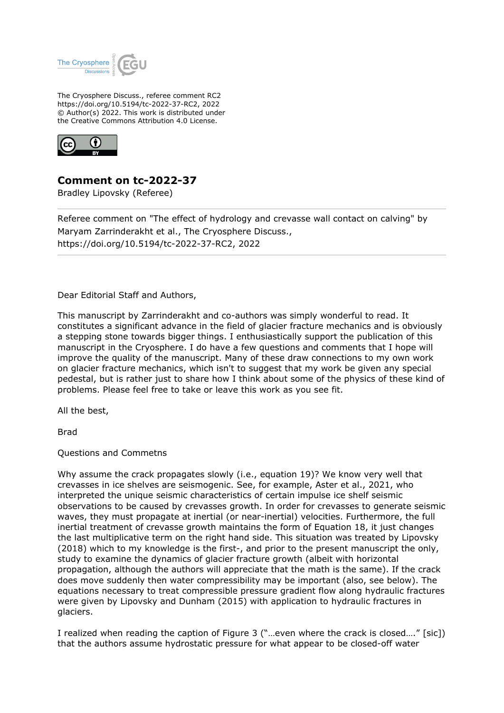

The Cryosphere Discuss., referee comment RC2 https://doi.org/10.5194/tc-2022-37-RC2, 2022 © Author(s) 2022. This work is distributed under the Creative Commons Attribution 4.0 License.



**Comment on tc-2022-37**

Bradley Lipovsky (Referee)

Referee comment on "The effect of hydrology and crevasse wall contact on calving" by Maryam Zarrinderakht et al., The Cryosphere Discuss., https://doi.org/10.5194/tc-2022-37-RC2, 2022

Dear Editorial Staff and Authors,

This manuscript by Zarrinderakht and co-authors was simply wonderful to read. It constitutes a significant advance in the field of glacier fracture mechanics and is obviously a stepping stone towards bigger things. I enthusiastically support the publication of this manuscript in the Cryosphere. I do have a few questions and comments that I hope will improve the quality of the manuscript. Many of these draw connections to my own work on glacier fracture mechanics, which isn't to suggest that my work be given any special pedestal, but is rather just to share how I think about some of the physics of these kind of problems. Please feel free to take or leave this work as you see fit.

All the best,

Brad

Questions and Commetns

Why assume the crack propagates slowly (i.e., equation 19)? We know very well that crevasses in ice shelves are seismogenic. See, for example, Aster et al., 2021, who interpreted the unique seismic characteristics of certain impulse ice shelf seismic observations to be caused by crevasses growth. In order for crevasses to generate seismic waves, they must propagate at inertial (or near-inertial) velocities. Furthermore, the full inertial treatment of crevasse growth maintains the form of Equation 18, it just changes the last multiplicative term on the right hand side. This situation was treated by Lipovsky (2018) which to my knowledge is the first-, and prior to the present manuscript the only, study to examine the dynamics of glacier fracture growth (albeit with horizontal propagation, although the authors will appreciate that the math is the same). If the crack does move suddenly then water compressibility may be important (also, see below). The equations necessary to treat compressible pressure gradient flow along hydraulic fractures were given by Lipovsky and Dunham (2015) with application to hydraulic fractures in glaciers.

I realized when reading the caption of Figure 3 ("…even where the crack is closed…." [sic]) that the authors assume hydrostatic pressure for what appear to be closed-off water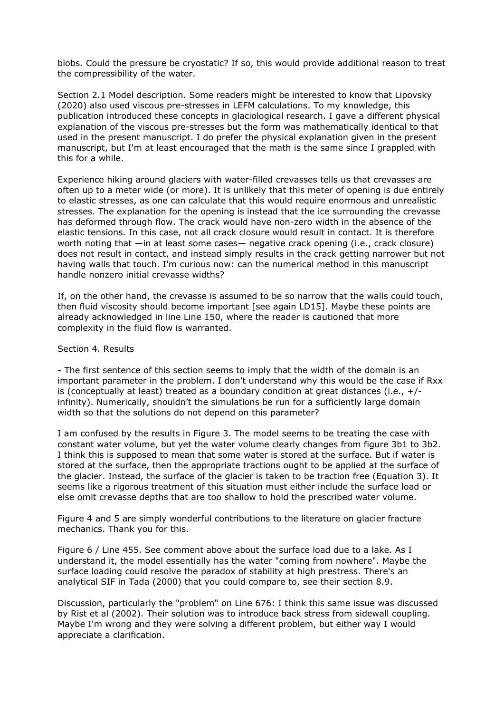blobs. Could the pressure be cryostatic? If so, this would provide additional reason to treat the compressibility of the water.

Section 2.1 Model description. Some readers might be interested to know that Lipovsky (2020) also used viscous pre-stresses in LEFM calculations. To my knowledge, this publication introduced these concepts in glaciological research. I gave a different physical explanation of the viscous pre-stresses but the form was mathematically identical to that used in the present manuscript. I do prefer the physical explanation given in the present manuscript, but I'm at least encouraged that the math is the same since I grappled with this for a while.

Experience hiking around glaciers with water-filled crevasses tells us that crevasses are often up to a meter wide (or more). It is unlikely that this meter of opening is due entirely to elastic stresses, as one can calculate that this would require enormous and unrealistic stresses. The explanation for the opening is instead that the ice surrounding the crevasse has deformed through flow. The crack would have non-zero width in the absence of the elastic tensions. In this case, not all crack closure would result in contact. It is therefore worth noting that —in at least some cases— negative crack opening (i.e., crack closure) does not result in contact, and instead simply results in the crack getting narrower but not having walls that touch. I'm curious now: can the numerical method in this manuscript handle nonzero initial crevasse widths?

If, on the other hand, the crevasse is assumed to be so narrow that the walls could touch, then fluid viscosity should become important [see again LD15]. Maybe these points are already acknowledged in line Line 150, where the reader is cautioned that more complexity in the fluid flow is warranted.

## Section 4. Results

- The first sentence of this section seems to imply that the width of the domain is an important parameter in the problem. I don't understand why this would be the case if Rxx is (conceptually at least) treated as a boundary condition at great distances (i.e.,  $+/$ infinity). Numerically, shouldn't the simulations be run for a sufficiently large domain width so that the solutions do not depend on this parameter?

I am confused by the results in Figure 3. The model seems to be treating the case with constant water volume, but yet the water volume clearly changes from figure 3b1 to 3b2. I think this is supposed to mean that some water is stored at the surface. But if water is stored at the surface, then the appropriate tractions ought to be applied at the surface of the glacier. Instead, the surface of the glacier is taken to be traction free (Equation 3). It seems like a rigorous treatment of this situation must either include the surface load or else omit crevasse depths that are too shallow to hold the prescribed water volume.

Figure 4 and 5 are simply wonderful contributions to the literature on glacier fracture mechanics. Thank you for this.

Figure 6 / Line 455. See comment above about the surface load due to a lake. As I understand it, the model essentially has the water "coming from nowhere". Maybe the surface loading could resolve the paradox of stability at high prestress. There's an analytical SIF in Tada (2000) that you could compare to, see their section 8.9.

Discussion, particularly the "problem" on Line 676: I think this same issue was discussed by Rist et al (2002). Their solution was to introduce back stress from sidewall coupling. Maybe I'm wrong and they were solving a different problem, but either way I would appreciate a clarification.